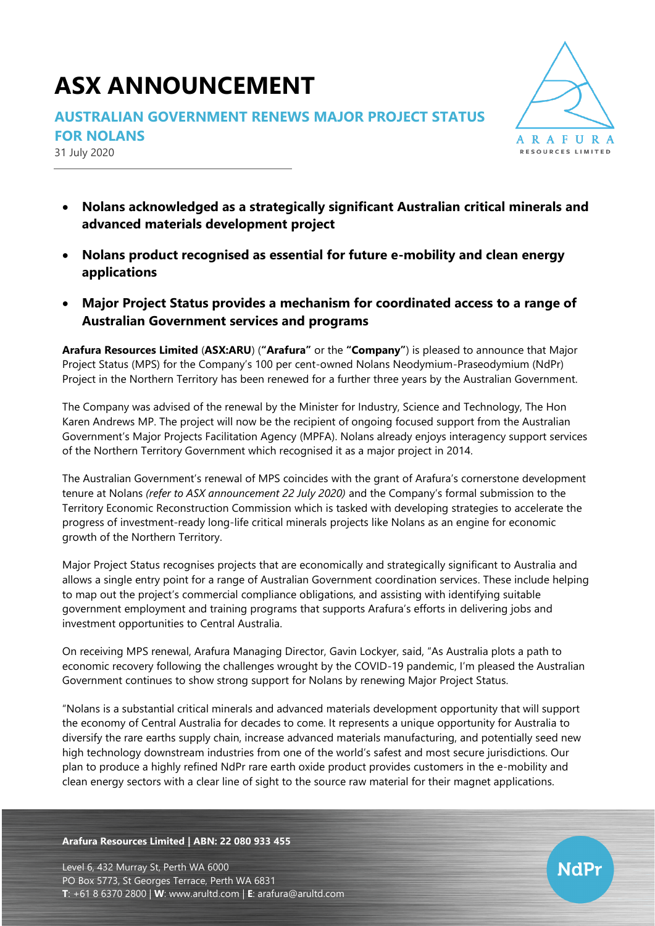# **ASX ANNOUNCEMENT**

## **AUSTRALIAN GOVERNMENT RENEWS MAJOR PROJECT STATUS**

**FOR NOLANS**

31 July 2020



**NdPr** 

- **Nolans acknowledged as a strategically significant Australian critical minerals and advanced materials development project**
- **Nolans product recognised as essential for future e-mobility and clean energy applications**
- **Major Project Status provides a mechanism for coordinated access to a range of Australian Government services and programs**

**Arafura Resources Limited** (**ASX:ARU**) (**"Arafura"** or the **"Company"**) is pleased to announce that Major Project Status (MPS) for the Company's 100 per cent-owned Nolans Neodymium-Praseodymium (NdPr) Project in the Northern Territory has been renewed for a further three years by the Australian Government.

The Company was advised of the renewal by the Minister for Industry, Science and Technology, The Hon Karen Andrews MP. The project will now be the recipient of ongoing focused support from the Australian Government's Major Projects Facilitation Agency (MPFA). Nolans already enjoys interagency support services of the Northern Territory Government which recognised it as a major project in 2014.

The Australian Government's renewal of MPS coincides with the grant of Arafura's cornerstone development tenure at Nolans *(refer to ASX announcement 22 July 2020)* and the Company's formal submission to the Territory Economic Reconstruction Commission which is tasked with developing strategies to accelerate the progress of investment-ready long-life critical minerals projects like Nolans as an engine for economic growth of the Northern Territory.

Major Project Status recognises projects that are economically and strategically significant to Australia and allows a single entry point for a range of Australian Government coordination services. These include helping to map out the project's commercial compliance obligations, and assisting with identifying suitable government employment and training programs that supports Arafura's efforts in delivering jobs and investment opportunities to Central Australia.

On receiving MPS renewal, Arafura Managing Director, Gavin Lockyer, said, "As Australia plots a path to economic recovery following the challenges wrought by the COVID-19 pandemic, I'm pleased the Australian Government continues to show strong support for Nolans by renewing Major Project Status.

"Nolans is a substantial critical minerals and advanced materials development opportunity that will support the economy of Central Australia for decades to come. It represents a unique opportunity for Australia to diversify the rare earths supply chain, increase advanced materials manufacturing, and potentially seed new high technology downstream industries from one of the world's safest and most secure jurisdictions. Our plan to produce a highly refined NdPr rare earth oxide product provides customers in the e-mobility and clean energy sectors with a clear line of sight to the source raw material for their magnet applications.

**Arafura Resources Limited | ABN: 22 080 933 455**

Level 6, 432 Murray St, Perth WA 6000 PO Box 5773, St Georges Terrace, Perth WA 6831 **T**: +61 8 6370 2800 | **W**: [www.arultd.com](http://www.arultd.com/) | **E**: [arafura@arultd.com](mailto:arafura@arultd.com)